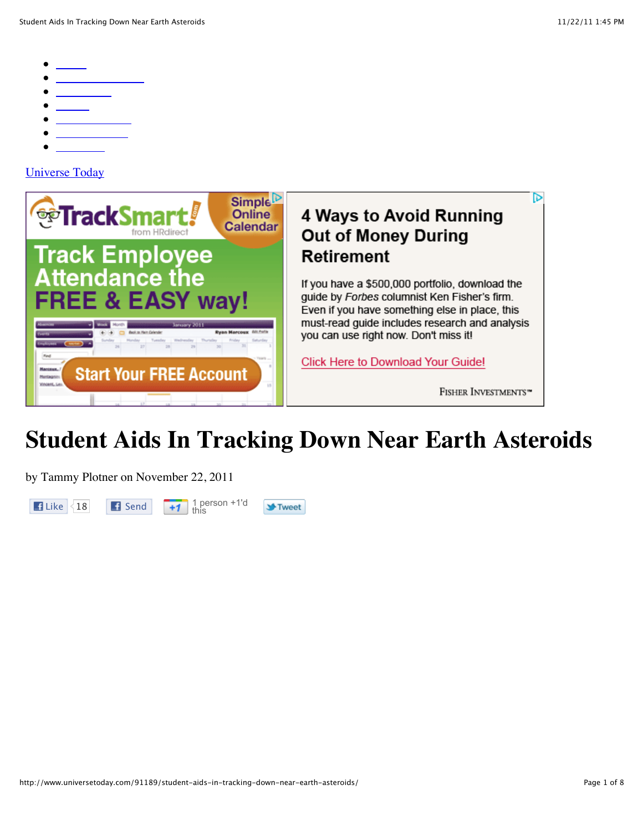- 
- 
- 
- 
- 
- 
- 

## Universe Today



## **Student Aids In Tracking Down Near Earth Asteroids**

by Tammy Plotner on November 22, 2011



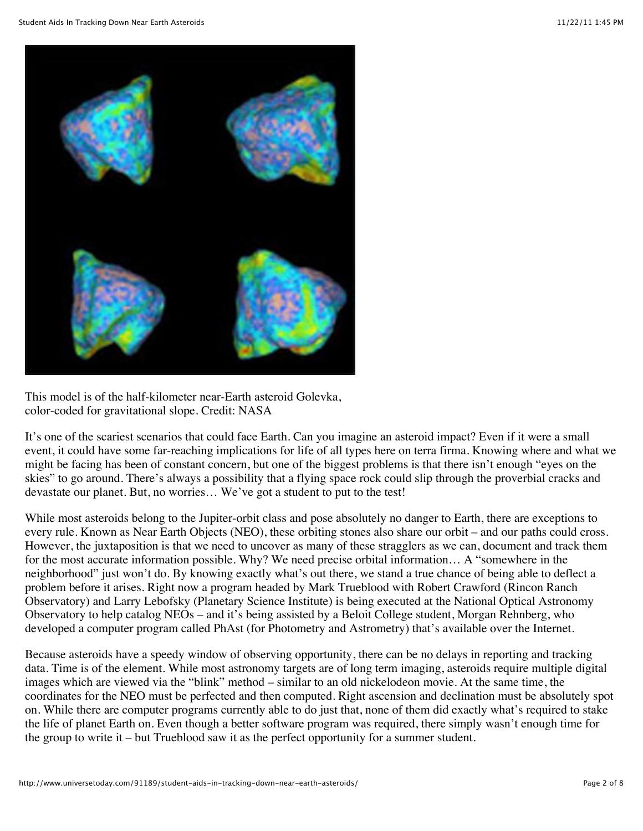

This model is of the half-kilometer near-Earth asteroid Golevka, color-coded for gravitational slope. Credit: NASA

It's one of the scariest scenarios that could face Earth. Can you imagine an asteroid impact? Even if it were a small event, it could have some far-reaching implications for life of all types here on terra firma. Knowing where and what we might be facing has been of constant concern, but one of the biggest problems is that there isn't enough "eyes on the skies" to go around. There's always a possibility that a flying space rock could slip through the proverbial cracks and devastate our planet. But, no worries… We've got a student to put to the test!

While most asteroids belong to the Jupiter-orbit class and pose absolutely no danger to Earth, there are exceptions to every rule. Known as Near Earth Objects (NEO), these orbiting stones also share our orbit – and our paths could cross. However, the juxtaposition is that we need to uncover as many of these stragglers as we can, document and track them for the most accurate information possible. Why? We need precise orbital information… A "somewhere in the neighborhood" just won't do. By knowing exactly what's out there, we stand a true chance of being able to deflect a problem before it arises. Right now a program headed by Mark Trueblood with Robert Crawford (Rincon Ranch Observatory) and Larry Lebofsky (Planetary Science Institute) is being executed at the National Optical Astronomy Observatory to help catalog NEOs – and it's being assisted by a Beloit College student, Morgan Rehnberg, who developed a computer program called PhAst (for Photometry and Astrometry) that's available over the Internet.

Because asteroids have a speedy window of observing opportunity, there can be no delays in reporting and tracking data. Time is of the element. While most astronomy targets are of long term imaging, asteroids require multiple digital images which are viewed via the "blink" method – similar to an old nickelodeon movie. At the same time, the coordinates for the NEO must be perfected and then computed. Right ascension and declination must be absolutely spot on. While there are computer programs currently able to do just that, none of them did exactly what's required to stake the life of planet Earth on. Even though a better software program was required, there simply wasn't enough time for the group to write it – but Trueblood saw it as the perfect opportunity for a summer student.